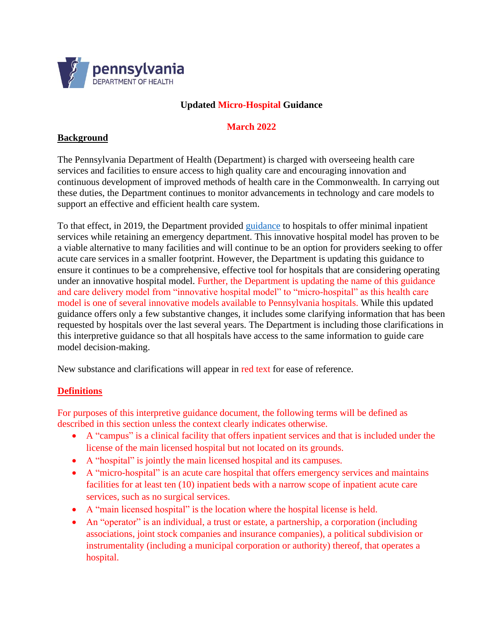

# **Updated Micro-Hospital Guidance**

#### **March 2022**

#### **Background**

The Pennsylvania Department of Health (Department) is charged with overseeing health care services and facilities to ensure access to high quality care and encouraging innovation and continuous development of improved methods of health care in the Commonwealth. In carrying out these duties, the Department continues to monitor advancements in technology and care models to support an effective and efficient health care system.

To that effect, in 2019, the Department provided [guidance](https://www.health.pa.gov/topics/Documents/Facilities%20and%20Licensing/Innovative%20Model%20Hospital%20Guidance%208.05.19.pdf) to hospitals to offer minimal inpatient services while retaining an emergency department. This innovative hospital model has proven to be a viable alternative to many facilities and will continue to be an option for providers seeking to offer acute care services in a smaller footprint. However, the Department is updating this guidance to ensure it continues to be a comprehensive, effective tool for hospitals that are considering operating under an innovative hospital model. Further, the Department is updating the name of this guidance and care delivery model from "innovative hospital model" to "micro-hospital" as this health care model is one of several innovative models available to Pennsylvania hospitals. While this updated guidance offers only a few substantive changes, it includes some clarifying information that has been requested by hospitals over the last several years. The Department is including those clarifications in this interpretive guidance so that all hospitals have access to the same information to guide care model decision-making.

New substance and clarifications will appear in red text for ease of reference.

# **Definitions**

For purposes of this interpretive guidance document, the following terms will be defined as described in this section unless the context clearly indicates otherwise.

- A "campus" is a clinical facility that offers inpatient services and that is included under the license of the main licensed hospital but not located on its grounds.
- A "hospital" is jointly the main licensed hospital and its campuses.
- A "micro-hospital" is an acute care hospital that offers emergency services and maintains facilities for at least ten (10) inpatient beds with a narrow scope of inpatient acute care services, such as no surgical services.
- A "main licensed hospital" is the location where the hospital license is held.
- An "operator" is an individual, a trust or estate, a partnership, a corporation (including associations, joint stock companies and insurance companies), a political subdivision or instrumentality (including a municipal corporation or authority) thereof, that operates a hospital.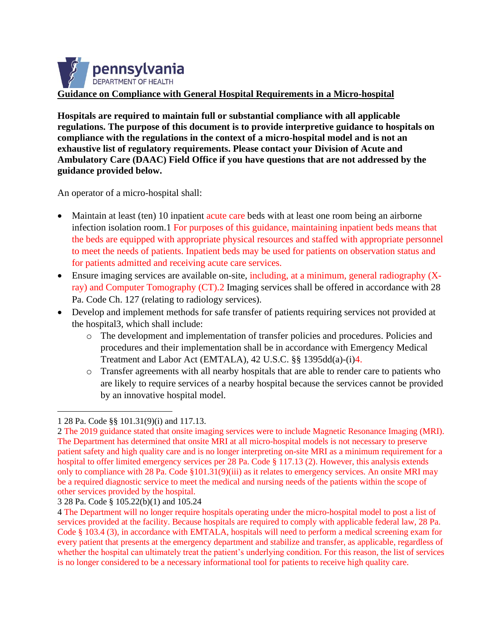

**Hospitals are required to maintain full or substantial compliance with all applicable regulations. The purpose of this document is to provide interpretive guidance to hospitals on compliance with the regulations in the context of a micro-hospital model and is not an exhaustive list of regulatory requirements. Please contact your Division of Acute and Ambulatory Care (DAAC) Field Office if you have questions that are not addressed by the guidance provided below.** 

An operator of a micro-hospital shall:

- Maintain at least (ten) 10 inpatient acute care beds with at least one room being an airborne infection isolation room.1 For purposes of this guidance, maintaining inpatient beds means that the beds are equipped with appropriate physical resources and staffed with appropriate personnel to meet the needs of patients. Inpatient beds may be used for patients on observation status and for patients admitted and receiving acute care services.
- Ensure imaging services are available on-site, including, at a minimum, general radiography (Xray) and Computer Tomography (CT).2 Imaging services shall be offered in accordance with 28 Pa. Code Ch. 127 (relating to radiology services).
- Develop and implement methods for safe transfer of patients requiring services not provided at the hospital3, which shall include:
	- o The development and implementation of transfer policies and procedures. Policies and procedures and their implementation shall be in accordance with Emergency Medical Treatment and Labor Act (EMTALA), 42 U.S.C. §§ 1395dd(a)-(i)4.
	- o Transfer agreements with all nearby hospitals that are able to render care to patients who are likely to require services of a nearby hospital because the services cannot be provided by an innovative hospital model.

<sup>1</sup> 28 Pa. Code §§ 101.31(9)(i) and 117.13.

<sup>2</sup> The 2019 guidance stated that onsite imaging services were to include Magnetic Resonance Imaging (MRI). The Department has determined that onsite MRI at all micro-hospital models is not necessary to preserve patient safety and high quality care and is no longer interpreting on-site MRI as a minimum requirement for a hospital to offer limited emergency services per 28 Pa. Code § 117.13 (2). However, this analysis extends only to compliance with 28 Pa. Code §101.31(9)(iii) as it relates to emergency services. An onsite MRI may be a required diagnostic service to meet the medical and nursing needs of the patients within the scope of other services provided by the hospital.

<sup>3</sup> 28 Pa. Code § 105.22(b)(1) and 105.24

<sup>4</sup> The Department will no longer require hospitals operating under the micro-hospital model to post a list of services provided at the facility. Because hospitals are required to comply with applicable federal law, 28 Pa. Code § 103.4 (3), in accordance with EMTALA, hospitals will need to perform a medical screening exam for every patient that presents at the emergency department and stabilize and transfer, as applicable, regardless of whether the hospital can ultimately treat the patient's underlying condition. For this reason, the list of services is no longer considered to be a necessary informational tool for patients to receive high quality care.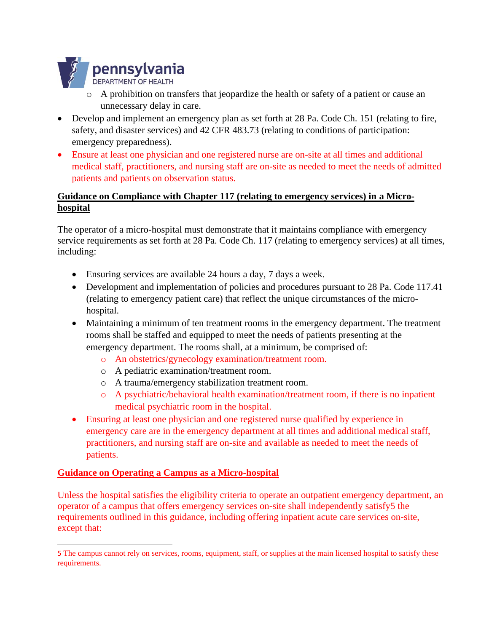

- o A prohibition on transfers that jeopardize the health or safety of a patient or cause an unnecessary delay in care.
- Develop and implement an emergency plan as set forth at 28 Pa. Code Ch. 151 (relating to fire, safety, and disaster services) and 42 CFR 483.73 (relating to conditions of participation: emergency preparedness).
- Ensure at least one physician and one registered nurse are on-site at all times and additional medical staff, practitioners, and nursing staff are on-site as needed to meet the needs of admitted patients and patients on observation status.

### **Guidance on Compliance with Chapter 117 (relating to emergency services) in a Microhospital**

The operator of a micro-hospital must demonstrate that it maintains compliance with emergency service requirements as set forth at 28 Pa. Code Ch. 117 (relating to emergency services) at all times, including:

- Ensuring services are available 24 hours a day, 7 days a week.
- Development and implementation of policies and procedures pursuant to 28 Pa. Code 117.41 (relating to emergency patient care) that reflect the unique circumstances of the microhospital.
- Maintaining a minimum of ten treatment rooms in the emergency department. The treatment rooms shall be staffed and equipped to meet the needs of patients presenting at the emergency department. The rooms shall, at a minimum, be comprised of:
	- o An obstetrics/gynecology examination/treatment room.
	- o A pediatric examination/treatment room.
	- o A trauma/emergency stabilization treatment room.
	- o A psychiatric/behavioral health examination/treatment room, if there is no inpatient medical psychiatric room in the hospital.
- Ensuring at least one physician and one registered nurse qualified by experience in emergency care are in the emergency department at all times and additional medical staff, practitioners, and nursing staff are on-site and available as needed to meet the needs of patients.

#### **Guidance on Operating a Campus as a Micro-hospital**

Unless the hospital satisfies the eligibility criteria to operate an outpatient emergency department, an operator of a campus that offers emergency services on-site shall independently satisfy5 the requirements outlined in this guidance, including offering inpatient acute care services on-site, except that:

<sup>5</sup> The campus cannot rely on services, rooms, equipment, staff, or supplies at the main licensed hospital to satisfy these requirements.